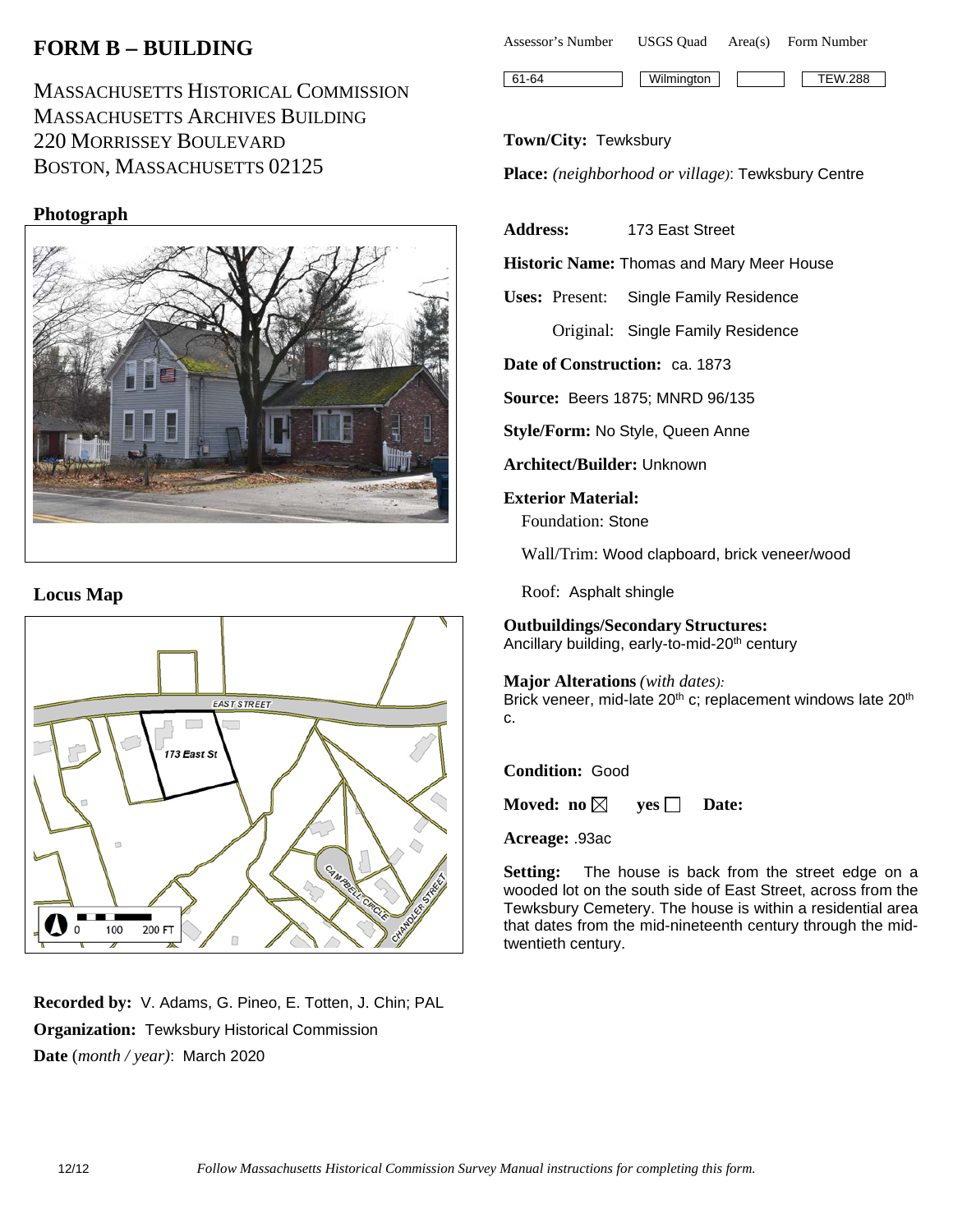# **FORM B** − **BUILDING**

MASSACHUSETTS HISTORICAL COMMISSION MASSACHUSETTS ARCHIVES BUILDING 220 MORRISSEY BOULEVARD BOSTON, MASSACHUSETTS 02125

## **Photograph**



#### **Locus Map**



**Recorded by:** V. Adams, G. Pineo, E. Totten, J. Chin; PAL **Organization:** Tewksbury Historical Commission **Date** (*month / year)*: March 2020

| Assessor's Number | <b>USGS</b> Ouad | Area(s) | Form Number    |
|-------------------|------------------|---------|----------------|
| $161-64$          | Wilmington       |         | <b>TEW.288</b> |

#### **Town/City:** Tewksbury

**Place:** *(neighborhood or village)*: Tewksbury Centre

**Address:** 173 East Street

**Historic Name:** Thomas and Mary Meer House

**Uses:** Present: Single Family Residence

Original: Single Family Residence

**Date of Construction:** ca. 1873

**Source:** Beers 1875; MNRD 96/135

**Style/Form:** No Style, Queen Anne

**Architect/Builder:** Unknown

**Exterior Material:** Foundation: Stone

Wall/Trim: Wood clapboard, brick veneer/wood

Roof: Asphalt shingle

# **Outbuildings/Secondary Structures:**

Ancillary building, early-to-mid-20<sup>th</sup> century

#### **Major Alterations** *(with dates):*

Brick veneer, mid-late 20<sup>th</sup> c; replacement windows late 20<sup>th</sup> c.

#### **Condition:** Good

**Moved:** no  $\boxtimes$  **yes**  $\Box$  **Date:** 

**Acreage:** .93ac

**Setting:** The house is back from the street edge on a wooded lot on the south side of East Street, across from the Tewksbury Cemetery. The house is within a residential area that dates from the mid-nineteenth century through the midtwentieth century.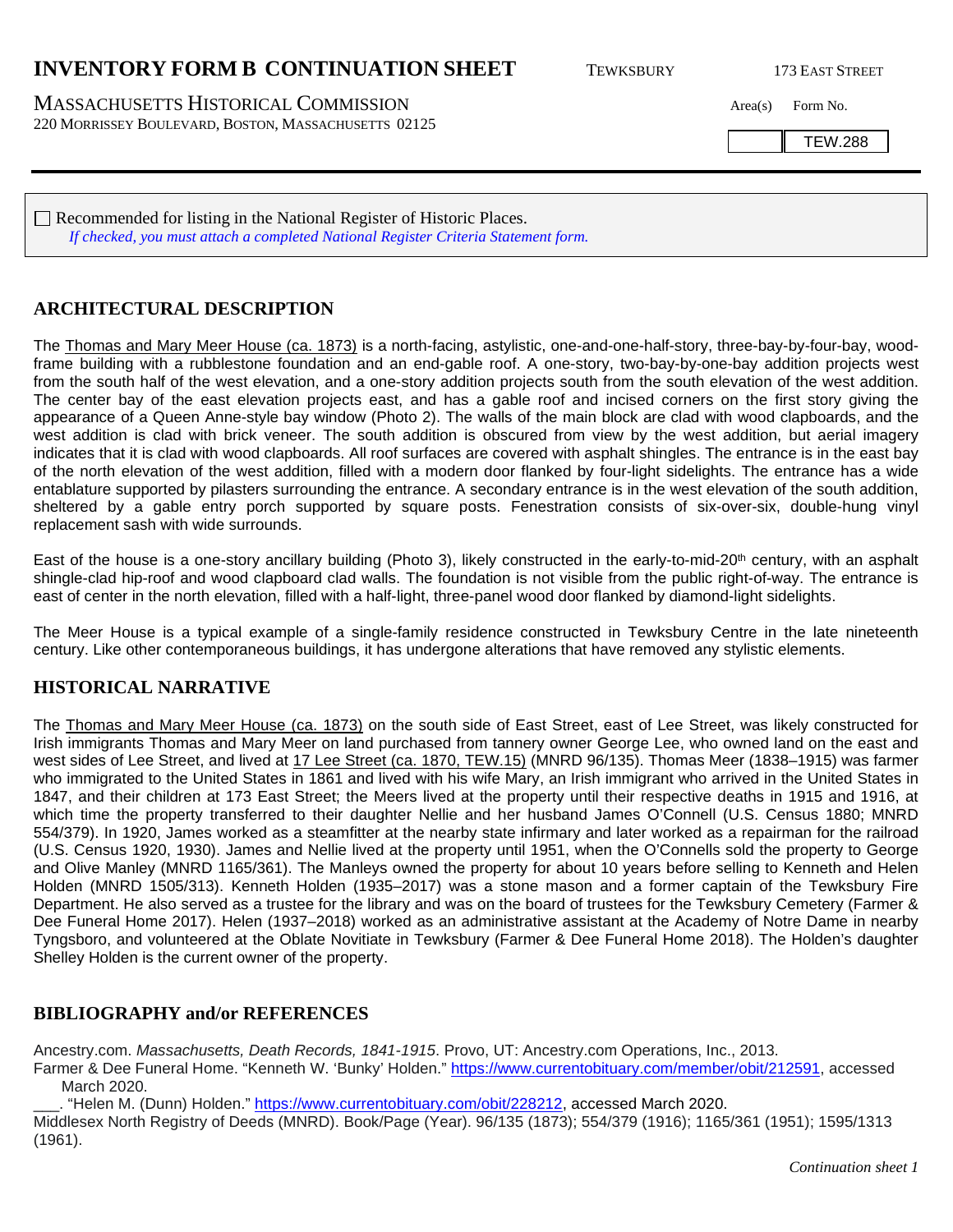## **INVENTORY FORM B CONTINUATION SHEET** TEWKSBURY 173 EAST STREET

MASSACHUSETTS HISTORICAL COMMISSION Area(s) Form No. 220 MORRISSEY BOULEVARD, BOSTON, MASSACHUSETTS 02125

TEW.288

Recommended for listing in the National Register of Historic Places. *If checked, you must attach a completed National Register Criteria Statement form.*

### **ARCHITECTURAL DESCRIPTION**

The Thomas and Mary Meer House (ca. 1873) is a north-facing, astylistic, one-and-one-half-story, three-bay-by-four-bay, woodframe building with a rubblestone foundation and an end-gable roof. A one-story, two-bay-by-one-bay addition projects west from the south half of the west elevation, and a one-story addition projects south from the south elevation of the west addition. The center bay of the east elevation projects east, and has a gable roof and incised corners on the first story giving the appearance of a Queen Anne-style bay window (Photo 2). The walls of the main block are clad with wood clapboards, and the west addition is clad with brick veneer. The south addition is obscured from view by the west addition, but aerial imagery indicates that it is clad with wood clapboards. All roof surfaces are covered with asphalt shingles. The entrance is in the east bay of the north elevation of the west addition, filled with a modern door flanked by four-light sidelights. The entrance has a wide entablature supported by pilasters surrounding the entrance. A secondary entrance is in the west elevation of the south addition, sheltered by a gable entry porch supported by square posts. Fenestration consists of six-over-six, double-hung vinyl replacement sash with wide surrounds.

East of the house is a one-story ancillary building (Photo 3), likely constructed in the early-to-mid-20<sup>th</sup> century, with an asphalt shingle-clad hip-roof and wood clapboard clad walls. The foundation is not visible from the public right-of-way. The entrance is east of center in the north elevation, filled with a half-light, three-panel wood door flanked by diamond-light sidelights.

The Meer House is a typical example of a single-family residence constructed in Tewksbury Centre in the late nineteenth century. Like other contemporaneous buildings, it has undergone alterations that have removed any stylistic elements.

### **HISTORICAL NARRATIVE**

The Thomas and Mary Meer House (ca. 1873) on the south side of East Street, east of Lee Street, was likely constructed for Irish immigrants Thomas and Mary Meer on land purchased from tannery owner George Lee, who owned land on the east and west sides of Lee Street, and lived at 17 Lee Street (ca. 1870, TEW.15) (MNRD 96/135). Thomas Meer (1838–1915) was farmer who immigrated to the United States in 1861 and lived with his wife Mary, an Irish immigrant who arrived in the United States in 1847, and their children at 173 East Street; the Meers lived at the property until their respective deaths in 1915 and 1916, at which time the property transferred to their daughter Nellie and her husband James O'Connell (U.S. Census 1880; MNRD 554/379). In 1920, James worked as a steamfitter at the nearby state infirmary and later worked as a repairman for the railroad (U.S. Census 1920, 1930). James and Nellie lived at the property until 1951, when the O'Connells sold the property to George and Olive Manley (MNRD 1165/361). The Manleys owned the property for about 10 years before selling to Kenneth and Helen Holden (MNRD 1505/313). Kenneth Holden (1935–2017) was a stone mason and a former captain of the Tewksbury Fire Department. He also served as a trustee for the library and was on the board of trustees for the Tewksbury Cemetery (Farmer & Dee Funeral Home 2017). Helen (1937–2018) worked as an administrative assistant at the Academy of Notre Dame in nearby Tyngsboro, and volunteered at the Oblate Novitiate in Tewksbury (Farmer & Dee Funeral Home 2018). The Holden's daughter Shelley Holden is the current owner of the property.

#### **BIBLIOGRAPHY and/or REFERENCES**

Ancestry.com. *Massachusetts, Death Records, 1841-1915*. Provo, UT: Ancestry.com Operations, Inc., 2013.

Farmer & Dee Funeral Home. "Kenneth W. 'Bunky' Holden." [https://www.currentobituary.com/member/obit/212591,](https://www.currentobituary.com/member/obit/212591) accessed March 2020.

\_\_\_. "Helen M. (Dunn) Holden." [https://www.currentobituary.com/obit/228212,](https://www.currentobituary.com/obit/228212) accessed March 2020. Middlesex North Registry of Deeds (MNRD). Book/Page (Year). 96/135 (1873); 554/379 (1916); 1165/361 (1951); 1595/1313 (1961).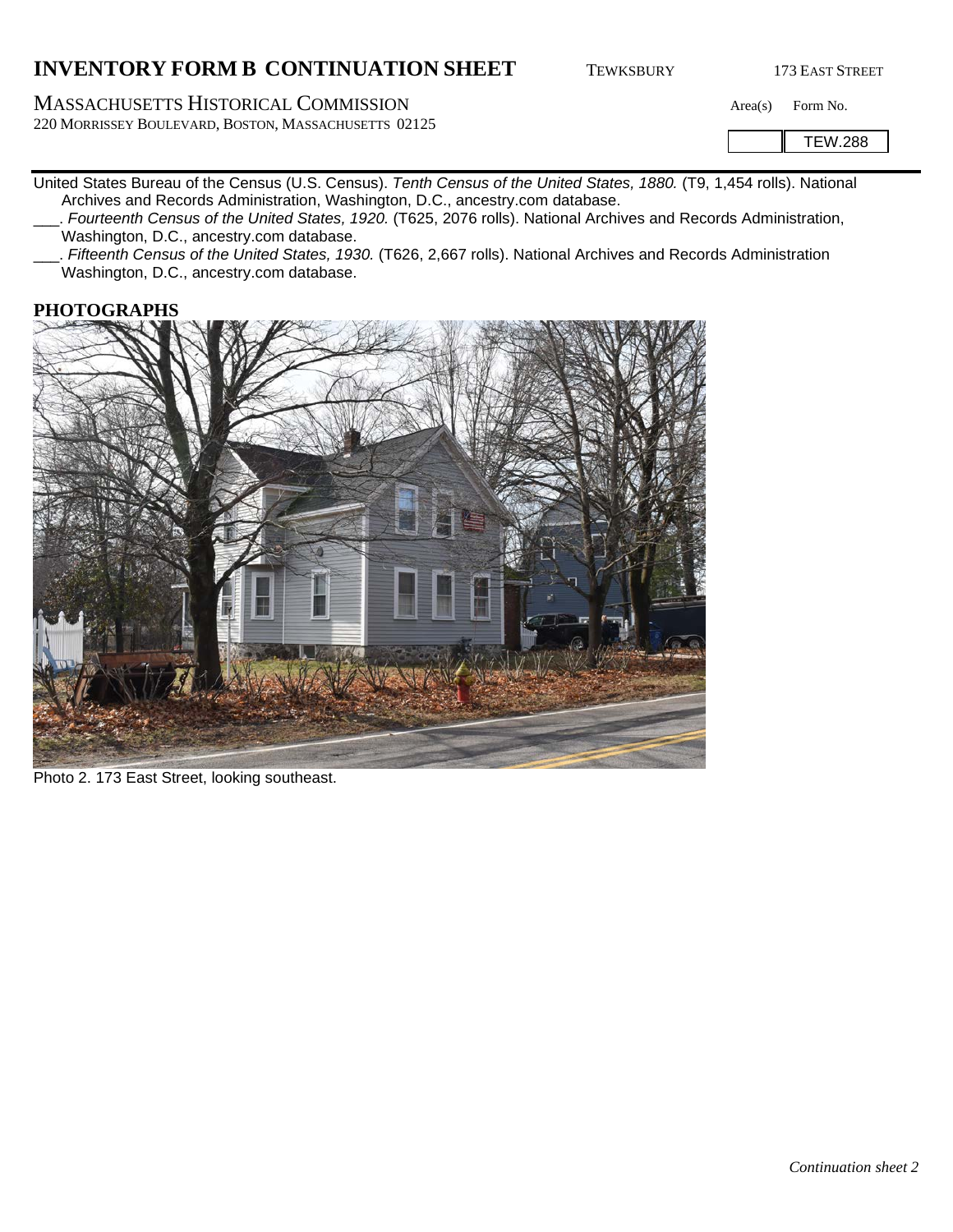# **INVENTORY FORM B CONTINUATION SHEET** TEWKSBURY 173 EAST STREET

MASSACHUSETTS HISTORICAL COMMISSION Area(s) Form No. 220 MORRISSEY BOULEVARD, BOSTON, MASSACHUSETTS 02125

TEW.288

- United States Bureau of the Census (U.S. Census). *Tenth Census of the United States, 1880.* (T9, 1,454 rolls). National Archives and Records Administration, Washington, D.C., ancestry.com database.
	- \_\_\_. *Fourteenth Census of the United States, 1920.* (T625, 2076 rolls). National Archives and Records Administration, Washington, D.C., ancestry.com database.
	- \_\_\_. *Fifteenth Census of the United States, 1930.* (T626, 2,667 rolls). National Archives and Records Administration Washington, D.C., ancestry.com database.

#### **PHOTOGRAPHS**



Photo 2. 173 East Street, looking southeast.